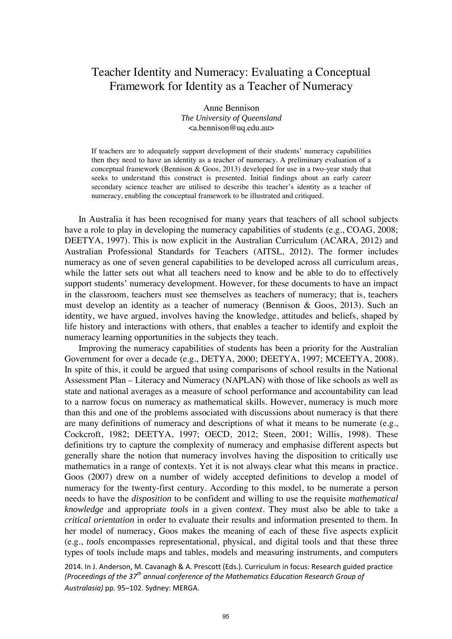# Teacher Identity and Numeracy: Evaluating a Conceptual Framework for Identity as a Teacher of Numeracy

Anne Bennison *The University of Queensland* <a.bennison@uq.edu.au>

If teachers are to adequately support development of their students' numeracy capabilities then they need to have an identity as a teacher of numeracy. A preliminary evaluation of a conceptual framework (Bennison & Goos, 2013) developed for use in a two-year study that seeks to understand this construct is presented. Initial findings about an early career secondary science teacher are utilised to describe this teacher's identity as a teacher of numeracy, enabling the conceptual framework to be illustrated and critiqued.

In Australia it has been recognised for many years that teachers of all school subjects have a role to play in developing the numeracy capabilities of students (e.g., COAG, 2008; DEETYA, 1997). This is now explicit in the Australian Curriculum (ACARA, 2012) and Australian Professional Standards for Teachers (AITSL, 2012). The former includes numeracy as one of seven general capabilities to be developed across all curriculum areas, while the latter sets out what all teachers need to know and be able to do to effectively support students' numeracy development. However, for these documents to have an impact in the classroom, teachers must see themselves as teachers of numeracy; that is, teachers must develop an identity as a teacher of numeracy (Bennison & Goos, 2013). Such an identity, we have argued, involves having the knowledge, attitudes and beliefs, shaped by life history and interactions with others, that enables a teacher to identify and exploit the numeracy learning opportunities in the subjects they teach.

Improving the numeracy capabilities of students has been a priority for the Australian Government for over a decade (e.g., DETYA, 2000; DEETYA, 1997; MCEETYA, 2008). In spite of this, it could be argued that using comparisons of school results in the National Assessment Plan – Literacy and Numeracy (NAPLAN) with those of like schools as well as state and national averages as a measure of school performance and accountability can lead to a narrow focus on numeracy as mathematical skills. However, numeracy is much more than this and one of the problems associated with discussions about numeracy is that there are many definitions of numeracy and descriptions of what it means to be numerate (e.g., Cockcroft, 1982; DEETYA, 1997; OECD, 2012; Steen, 2001; Willis, 1998). These definitions try to capture the complexity of numeracy and emphasise different aspects but generally share the notion that numeracy involves having the disposition to critically use mathematics in a range of contexts. Yet it is not always clear what this means in practice. Goos (2007) drew on a number of widely accepted definitions to develop a model of numeracy for the twenty-first century. According to this model, to be numerate a person needs to have the *disposition* to be confident and willing to use the requisite *mathematical knowledge* and appropriate *tools* in a given *context*. They must also be able to take a *critical orientation* in order to evaluate their results and information presented to them. In her model of numeracy, Goos makes the meaning of each of these five aspects explicit (e.g., *tools* encompasses representational, physical, and digital tools and that these three types of tools include maps and tables, models and measuring instruments, and computers

2014. In J. Anderson, M. Cavanagh & A. Prescott (Eds.). Curriculum in focus: Research guided practice *(Proceedings of the 37th annual conference of the Mathematics Education Research Group of Australasia)* pp. 95–102. Sydney: MERGA.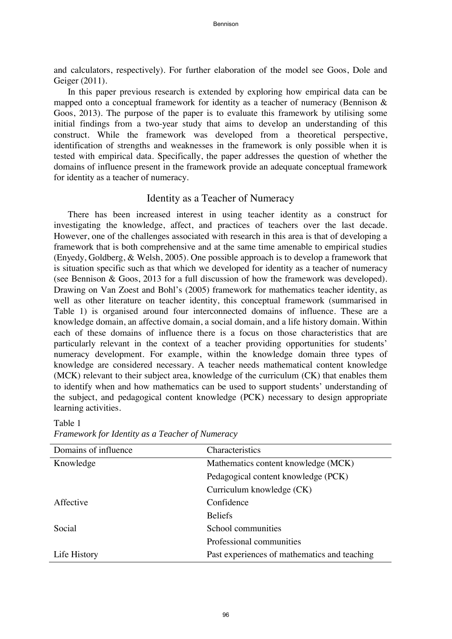and calculators, respectively). For further elaboration of the model see Goos, Dole and Geiger (2011).

In this paper previous research is extended by exploring how empirical data can be mapped onto a conceptual framework for identity as a teacher of numeracy (Bennison & Goos, 2013). The purpose of the paper is to evaluate this framework by utilising some initial findings from a two-year study that aims to develop an understanding of this construct. While the framework was developed from a theoretical perspective, identification of strengths and weaknesses in the framework is only possible when it is tested with empirical data. Specifically, the paper addresses the question of whether the domains of influence present in the framework provide an adequate conceptual framework for identity as a teacher of numeracy.

## Identity as a Teacher of Numeracy

There has been increased interest in using teacher identity as a construct for investigating the knowledge, affect, and practices of teachers over the last decade. However, one of the challenges associated with research in this area is that of developing a framework that is both comprehensive and at the same time amenable to empirical studies (Enyedy, Goldberg, & Welsh, 2005). One possible approach is to develop a framework that is situation specific such as that which we developed for identity as a teacher of numeracy (see Bennison & Goos, 2013 for a full discussion of how the framework was developed). Drawing on Van Zoest and Bohl's (2005) framework for mathematics teacher identity, as well as other literature on teacher identity, this conceptual framework (summarised in Table 1) is organised around four interconnected domains of influence. These are a knowledge domain, an affective domain, a social domain, and a life history domain. Within each of these domains of influence there is a focus on those characteristics that are particularly relevant in the context of a teacher providing opportunities for students' numeracy development. For example, within the knowledge domain three types of knowledge are considered necessary. A teacher needs mathematical content knowledge (MCK) relevant to their subject area, knowledge of the curriculum (CK) that enables them to identify when and how mathematics can be used to support students' understanding of the subject, and pedagogical content knowledge (PCK) necessary to design appropriate learning activities.

| Domains of influence | Characteristics                              |
|----------------------|----------------------------------------------|
| Knowledge            | Mathematics content knowledge (MCK)          |
|                      | Pedagogical content knowledge (PCK)          |
|                      | Curriculum knowledge (CK)                    |
| Affective            | Confidence                                   |
|                      | <b>Beliefs</b>                               |
| Social               | School communities                           |
|                      | Professional communities                     |
| Life History         | Past experiences of mathematics and teaching |

*Framework for Identity as a Teacher of Numeracy* 

Table 1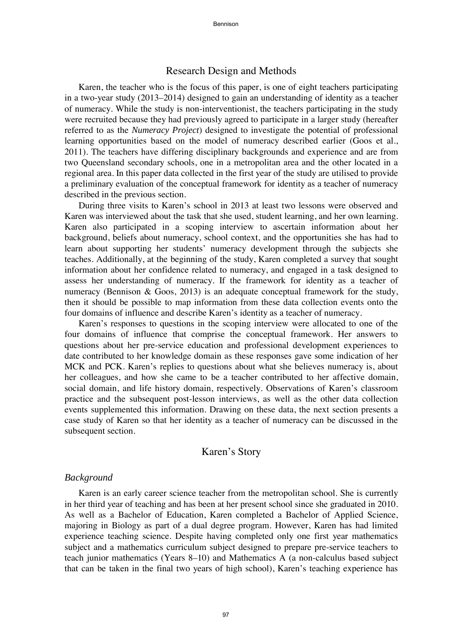# Research Design and Methods

Karen, the teacher who is the focus of this paper, is one of eight teachers participating in a two-year study (2013–2014) designed to gain an understanding of identity as a teacher of numeracy. While the study is non-interventionist, the teachers participating in the study were recruited because they had previously agreed to participate in a larger study (hereafter referred to as the *Numeracy Project*) designed to investigate the potential of professional learning opportunities based on the model of numeracy described earlier (Goos et al., 2011). The teachers have differing disciplinary backgrounds and experience and are from two Queensland secondary schools, one in a metropolitan area and the other located in a regional area. In this paper data collected in the first year of the study are utilised to provide a preliminary evaluation of the conceptual framework for identity as a teacher of numeracy described in the previous section.

During three visits to Karen's school in 2013 at least two lessons were observed and Karen was interviewed about the task that she used, student learning, and her own learning. Karen also participated in a scoping interview to ascertain information about her background, beliefs about numeracy, school context, and the opportunities she has had to learn about supporting her students' numeracy development through the subjects she teaches. Additionally, at the beginning of the study, Karen completed a survey that sought information about her confidence related to numeracy, and engaged in a task designed to assess her understanding of numeracy. If the framework for identity as a teacher of numeracy (Bennison & Goos, 2013) is an adequate conceptual framework for the study, then it should be possible to map information from these data collection events onto the four domains of influence and describe Karen's identity as a teacher of numeracy.

Karen's responses to questions in the scoping interview were allocated to one of the four domains of influence that comprise the conceptual framework. Her answers to questions about her pre-service education and professional development experiences to date contributed to her knowledge domain as these responses gave some indication of her MCK and PCK. Karen's replies to questions about what she believes numeracy is, about her colleagues, and how she came to be a teacher contributed to her affective domain, social domain, and life history domain, respectively. Observations of Karen's classroom practice and the subsequent post-lesson interviews, as well as the other data collection events supplemented this information. Drawing on these data, the next section presents a case study of Karen so that her identity as a teacher of numeracy can be discussed in the subsequent section.

## Karen's Story

#### *Background*

Karen is an early career science teacher from the metropolitan school. She is currently in her third year of teaching and has been at her present school since she graduated in 2010. As well as a Bachelor of Education, Karen completed a Bachelor of Applied Science, majoring in Biology as part of a dual degree program. However, Karen has had limited experience teaching science. Despite having completed only one first year mathematics subject and a mathematics curriculum subject designed to prepare pre-service teachers to teach junior mathematics (Years 8–10) and Mathematics A (a non-calculus based subject that can be taken in the final two years of high school), Karen's teaching experience has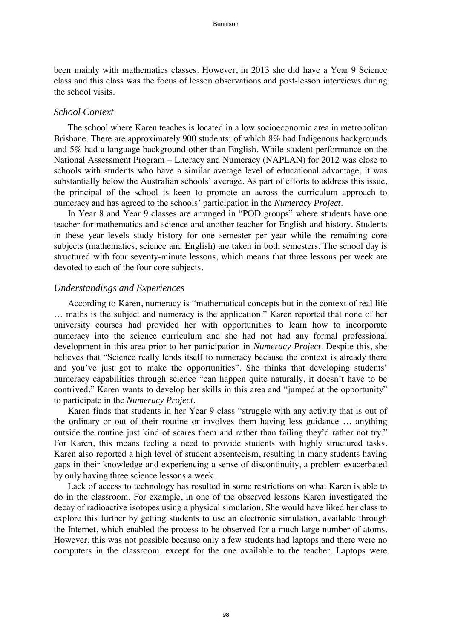been mainly with mathematics classes. However, in 2013 she did have a Year 9 Science class and this class was the focus of lesson observations and post-lesson interviews during the school visits.

#### *School Context*

The school where Karen teaches is located in a low socioeconomic area in metropolitan Brisbane. There are approximately 900 students; of which 8% had Indigenous backgrounds and 5% had a language background other than English. While student performance on the National Assessment Program – Literacy and Numeracy (NAPLAN) for 2012 was close to schools with students who have a similar average level of educational advantage, it was substantially below the Australian schools' average. As part of efforts to address this issue, the principal of the school is keen to promote an across the curriculum approach to numeracy and has agreed to the schools' participation in the *Numeracy Project*.

In Year 8 and Year 9 classes are arranged in "POD groups" where students have one teacher for mathematics and science and another teacher for English and history. Students in these year levels study history for one semester per year while the remaining core subjects (mathematics, science and English) are taken in both semesters. The school day is structured with four seventy-minute lessons, which means that three lessons per week are devoted to each of the four core subjects.

#### *Understandings and Experiences*

According to Karen, numeracy is "mathematical concepts but in the context of real life … maths is the subject and numeracy is the application." Karen reported that none of her university courses had provided her with opportunities to learn how to incorporate numeracy into the science curriculum and she had not had any formal professional development in this area prior to her participation in *Numeracy Project*. Despite this, she believes that "Science really lends itself to numeracy because the context is already there and you've just got to make the opportunities". She thinks that developing students' numeracy capabilities through science "can happen quite naturally, it doesn't have to be contrived." Karen wants to develop her skills in this area and "jumped at the opportunity" to participate in the *Numeracy Project*.

Karen finds that students in her Year 9 class "struggle with any activity that is out of the ordinary or out of their routine or involves them having less guidance … anything outside the routine just kind of scares them and rather than failing they'd rather not try." For Karen, this means feeling a need to provide students with highly structured tasks. Karen also reported a high level of student absenteeism, resulting in many students having gaps in their knowledge and experiencing a sense of discontinuity, a problem exacerbated by only having three science lessons a week.

Lack of access to technology has resulted in some restrictions on what Karen is able to do in the classroom. For example, in one of the observed lessons Karen investigated the decay of radioactive isotopes using a physical simulation. She would have liked her class to explore this further by getting students to use an electronic simulation, available through the Internet, which enabled the process to be observed for a much large number of atoms. However, this was not possible because only a few students had laptops and there were no computers in the classroom, except for the one available to the teacher. Laptops were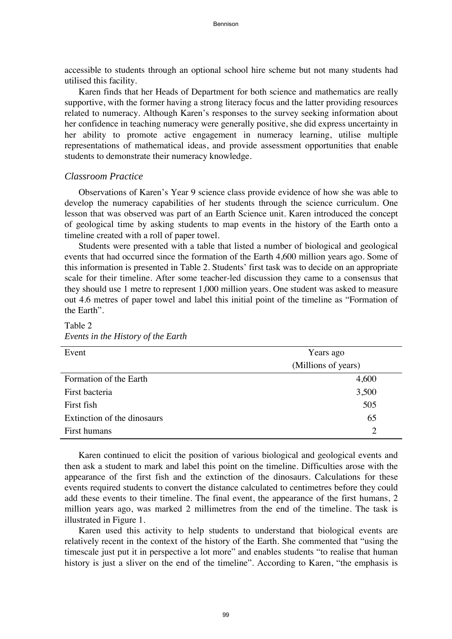accessible to students through an optional school hire scheme but not many students had utilised this facility.

Karen finds that her Heads of Department for both science and mathematics are really supportive, with the former having a strong literacy focus and the latter providing resources related to numeracy. Although Karen's responses to the survey seeking information about her confidence in teaching numeracy were generally positive, she did express uncertainty in her ability to promote active engagement in numeracy learning, utilise multiple representations of mathematical ideas, and provide assessment opportunities that enable students to demonstrate their numeracy knowledge.

#### *Classroom Practice*

Observations of Karen's Year 9 science class provide evidence of how she was able to develop the numeracy capabilities of her students through the science curriculum. One lesson that was observed was part of an Earth Science unit. Karen introduced the concept of geological time by asking students to map events in the history of the Earth onto a timeline created with a roll of paper towel.

Students were presented with a table that listed a number of biological and geological events that had occurred since the formation of the Earth 4,600 million years ago. Some of this information is presented in Table 2. Students' first task was to decide on an appropriate scale for their timeline. After some teacher-led discussion they came to a consensus that they should use 1 metre to represent 1,000 million years. One student was asked to measure out 4.6 metres of paper towel and label this initial point of the timeline as "Formation of the Earth".

| $\sim$ $\sim$               |                     |
|-----------------------------|---------------------|
| Event                       | Years ago           |
|                             | (Millions of years) |
| Formation of the Earth      | 4,600               |
| First bacteria              | 3,500               |
| First fish                  | 505                 |
| Extinction of the dinosaurs | 65                  |
| First humans                | 2                   |

Table 2 *Events in the History of the Earth* 

Karen continued to elicit the position of various biological and geological events and then ask a student to mark and label this point on the timeline. Difficulties arose with the appearance of the first fish and the extinction of the dinosaurs. Calculations for these events required students to convert the distance calculated to centimetres before they could add these events to their timeline. The final event, the appearance of the first humans, 2 million years ago, was marked 2 millimetres from the end of the timeline. The task is illustrated in Figure 1.

Karen used this activity to help students to understand that biological events are relatively recent in the context of the history of the Earth. She commented that "using the timescale just put it in perspective a lot more" and enables students "to realise that human history is just a sliver on the end of the timeline". According to Karen, "the emphasis is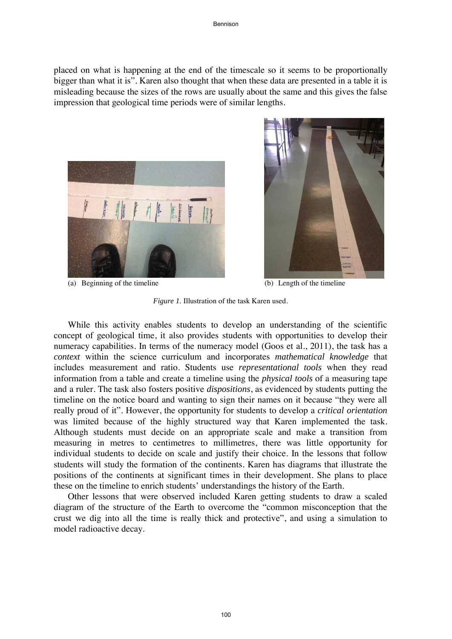placed on what is happening at the end of the timescale so it seems to be proportionally bigger than what it is". Karen also thought that when these data are presented in a table it is misleading because the sizes of the rows are usually about the same and this gives the false impression that geological time periods were of similar lengths.



(a) Beginning of the timeline (b) Length of the timeline



*Figure 1.* Illustration of the task Karen used.

While this activity enables students to develop an understanding of the scientific concept of geological time, it also provides students with opportunities to develop their numeracy capabilities. In terms of the numeracy model (Goos et al., 2011), the task has a *context* within the science curriculum and incorporates *mathematical knowledge* that includes measurement and ratio. Students use *representational tools* when they read information from a table and create a timeline using the *physical tools* of a measuring tape and a ruler. The task also fosters positive *dispositions*, as evidenced by students putting the timeline on the notice board and wanting to sign their names on it because "they were all really proud of it". However, the opportunity for students to develop a *critical orientation* was limited because of the highly structured way that Karen implemented the task. Although students must decide on an appropriate scale and make a transition from measuring in metres to centimetres to millimetres, there was little opportunity for individual students to decide on scale and justify their choice. In the lessons that follow students will study the formation of the continents. Karen has diagrams that illustrate the positions of the continents at significant times in their development. She plans to place these on the timeline to enrich students' understandings the history of the Earth.

Other lessons that were observed included Karen getting students to draw a scaled diagram of the structure of the Earth to overcome the "common misconception that the crust we dig into all the time is really thick and protective", and using a simulation to model radioactive decay.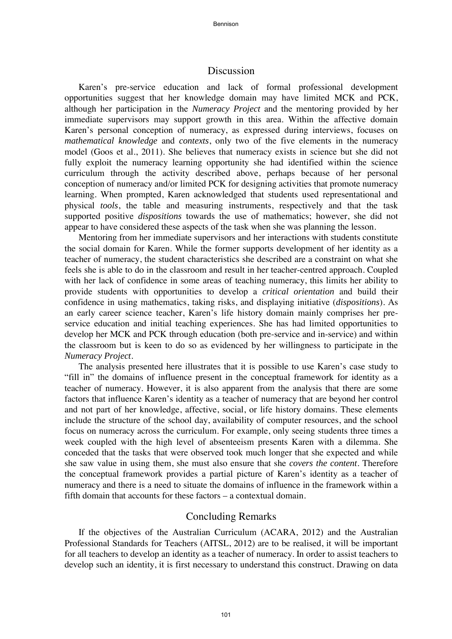# Discussion

Karen's pre-service education and lack of formal professional development opportunities suggest that her knowledge domain may have limited MCK and PCK, although her participation in the *Numeracy Project* and the mentoring provided by her immediate supervisors may support growth in this area. Within the affective domain Karen's personal conception of numeracy, as expressed during interviews, focuses on *mathematical knowledge* and *contexts*, only two of the five elements in the numeracy model (Goos et al., 2011). She believes that numeracy exists in science but she did not fully exploit the numeracy learning opportunity she had identified within the science curriculum through the activity described above, perhaps because of her personal conception of numeracy and/or limited PCK for designing activities that promote numeracy learning. When prompted, Karen acknowledged that students used representational and physical *tools*, the table and measuring instruments, respectively and that the task supported positive *dispositions* towards the use of mathematics; however, she did not appear to have considered these aspects of the task when she was planning the lesson.

Mentoring from her immediate supervisors and her interactions with students constitute the social domain for Karen. While the former supports development of her identity as a teacher of numeracy, the student characteristics she described are a constraint on what she feels she is able to do in the classroom and result in her teacher-centred approach. Coupled with her lack of confidence in some areas of teaching numeracy, this limits her ability to provide students with opportunities to develop a *critical orientation* and build their confidence in using mathematics, taking risks, and displaying initiative (*dispositions*). As an early career science teacher, Karen's life history domain mainly comprises her preservice education and initial teaching experiences. She has had limited opportunities to develop her MCK and PCK through education (both pre-service and in-service) and within the classroom but is keen to do so as evidenced by her willingness to participate in the *Numeracy Project*.

The analysis presented here illustrates that it is possible to use Karen's case study to "fill in" the domains of influence present in the conceptual framework for identity as a teacher of numeracy. However, it is also apparent from the analysis that there are some factors that influence Karen's identity as a teacher of numeracy that are beyond her control and not part of her knowledge, affective, social, or life history domains. These elements include the structure of the school day, availability of computer resources, and the school focus on numeracy across the curriculum. For example, only seeing students three times a week coupled with the high level of absenteeism presents Karen with a dilemma. She conceded that the tasks that were observed took much longer that she expected and while she saw value in using them, she must also ensure that she *covers the content*. Therefore the conceptual framework provides a partial picture of Karen's identity as a teacher of numeracy and there is a need to situate the domains of influence in the framework within a fifth domain that accounts for these factors – a contextual domain.

# Concluding Remarks

If the objectives of the Australian Curriculum (ACARA, 2012) and the Australian Professional Standards for Teachers (AITSL, 2012) are to be realised, it will be important for all teachers to develop an identity as a teacher of numeracy. In order to assist teachers to develop such an identity, it is first necessary to understand this construct. Drawing on data